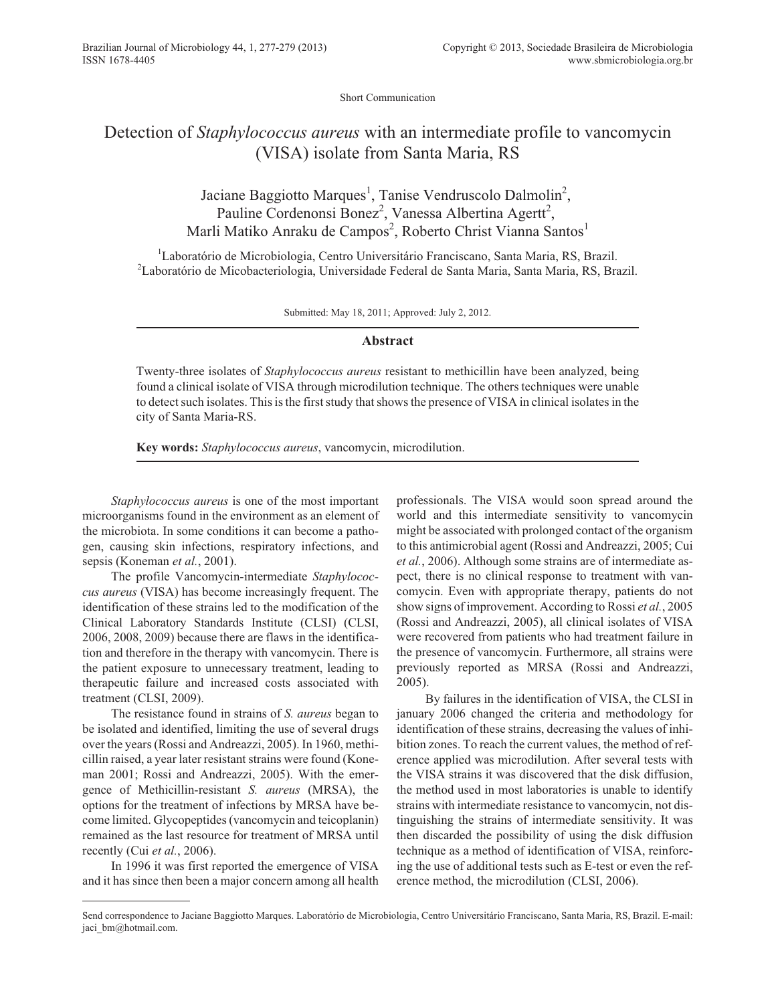Short Communication

## Detection of *Staphylococcus aureus* with an intermediate profile to vancomycin (VISA) isolate from Santa Maria, RS

Jaciane Baggiotto Marques<sup>1</sup>, Tanise Vendruscolo Dalmolin<sup>2</sup>, Pauline Cordenonsi Bonez<sup>2</sup>, Vanessa Albertina Agertt<sup>2</sup>, Marli Matiko Anraku de Campos<sup>2</sup>, Roberto Christ Vianna Santos<sup>1</sup>

<sup>1</sup>Laboratório de Microbiologia, Centro Universitário Franciscano, Santa Maria, RS, Brazil. <sup>2</sup>Laboratório de Micobacteriologia, Universidade Federal de Santa Maria, Santa Maria, RS, Brazil.

Submitted: May 18, 2011; Approved: July 2, 2012.

## **Abstract**

Twenty-three isolates of *Staphylococcus aureus* resistant to methicillin have been analyzed, being found a clinical isolate of VISA through microdilution technique. The others techniques were unable to detect such isolates. This is the first study that shows the presence of VISA in clinical isolates in the city of Santa Maria-RS.

**Key words:** *Staphylococcus aureus*, vancomycin, microdilution.

*Staphylococcus aureus* is one of the most important microorganisms found in the environment as an element of the microbiota. In some conditions it can become a pathogen, causing skin infections, respiratory infections, and sepsis (Koneman *et al.*, 2001).

The profile Vancomycin-intermediate *Staphylococcus aureus* (VISA) has become increasingly frequent. The identification of these strains led to the modification of the Clinical Laboratory Standards Institute (CLSI) (CLSI, 2006, 2008, 2009) because there are flaws in the identification and therefore in the therapy with vancomycin. There is the patient exposure to unnecessary treatment, leading to therapeutic failure and increased costs associated with treatment (CLSI, 2009).

The resistance found in strains of *S. aureus* began to be isolated and identified, limiting the use of several drugs over the years (Rossi and Andreazzi, 2005). In 1960, methicillin raised, a year later resistant strains were found (Koneman 2001; Rossi and Andreazzi, 2005). With the emergence of Methicillin-resistant *S. aureus* (MRSA), the options for the treatment of infections by MRSA have become limited. Glycopeptides (vancomycin and teicoplanin) remained as the last resource for treatment of MRSA until recently (Cui *et al.*, 2006).

In 1996 it was first reported the emergence of VISA and it has since then been a major concern among all health professionals. The VISA would soon spread around the world and this intermediate sensitivity to vancomycin might be associated with prolonged contact of the organism to this antimicrobial agent (Rossi and Andreazzi, 2005; Cui *et al.*, 2006). Although some strains are of intermediate aspect, there is no clinical response to treatment with vancomycin. Even with appropriate therapy, patients do not show signs of improvement. According to Rossi *et al.*, 2005 (Rossi and Andreazzi, 2005), all clinical isolates of VISA were recovered from patients who had treatment failure in the presence of vancomycin. Furthermore, all strains were previously reported as MRSA (Rossi and Andreazzi, 2005).

By failures in the identification of VISA, the CLSI in january 2006 changed the criteria and methodology for identification of these strains, decreasing the values of inhibition zones. To reach the current values, the method of reference applied was microdilution. After several tests with the VISA strains it was discovered that the disk diffusion, the method used in most laboratories is unable to identify strains with intermediate resistance to vancomycin, not distinguishing the strains of intermediate sensitivity. It was then discarded the possibility of using the disk diffusion technique as a method of identification of VISA, reinforcing the use of additional tests such as E-test or even the reference method, the microdilution (CLSI, 2006).

Send correspondence to Jaciane Baggiotto Marques. Laboratório de Microbiologia, Centro Universitário Franciscano, Santa Maria, RS, Brazil. E-mail: jaci bm@hotmail.com.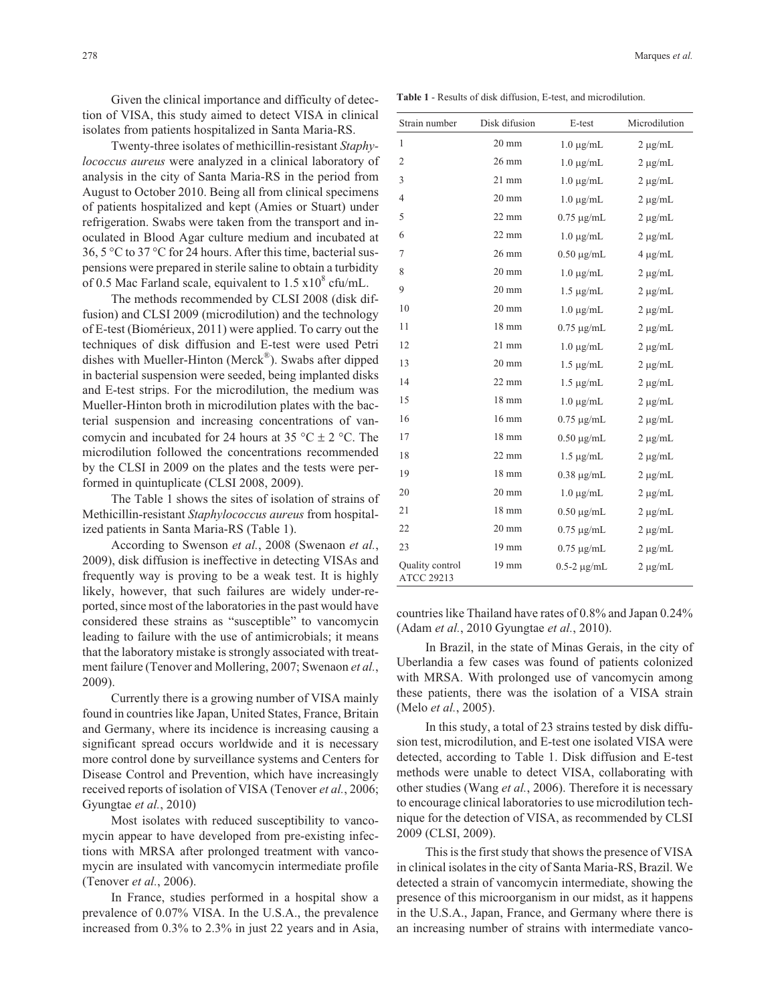Given the clinical importance and difficulty of detection of VISA, this study aimed to detect VISA in clinical isolates from patients hospitalized in Santa Maria-RS.

Twenty-three isolates of methicillin-resistant *Staphylococcus aureus* were analyzed in a clinical laboratory of analysis in the city of Santa Maria-RS in the period from August to October 2010. Being all from clinical specimens of patients hospitalized and kept (Amies or Stuart) under refrigeration. Swabs were taken from the transport and inoculated in Blood Agar culture medium and incubated at 36, 5 °C to 37 °C for 24 hours. After this time, bacterial suspensions were prepared in sterile saline to obtain a turbidity of 0.5 Mac Farland scale, equivalent to  $1.5 \times 10^8$  cfu/mL.

The methods recommended by CLSI 2008 (disk diffusion) and CLSI 2009 (microdilution) and the technology of E-test (Biomérieux, 2011) were applied. To carry out the techniques of disk diffusion and E-test were used Petri dishes with Mueller-Hinton (Merck<sup>®</sup>). Swabs after dipped in bacterial suspension were seeded, being implanted disks and E-test strips. For the microdilution, the medium was Mueller-Hinton broth in microdilution plates with the bacterial suspension and increasing concentrations of vancomycin and incubated for 24 hours at 35 °C  $\pm$  2 °C. The microdilution followed the concentrations recommended by the CLSI in 2009 on the plates and the tests were performed in quintuplicate (CLSI 2008, 2009).

The Table 1 shows the sites of isolation of strains of Methicillin-resistant *Staphylococcus aureus* from hospitalized patients in Santa Maria-RS (Table 1).

According to Swenson *et al.*, 2008 (Swenaon *et al.*, 2009), disk diffusion is ineffective in detecting VISAs and frequently way is proving to be a weak test. It is highly likely, however, that such failures are widely under-reported, since most of the laboratories in the past would have considered these strains as "susceptible" to vancomycin leading to failure with the use of antimicrobials; it means that the laboratory mistake is strongly associated with treatment failure (Tenover and Mollering, 2007; Swenaon *et al.*, 2009).

Currently there is a growing number of VISA mainly found in countries like Japan, United States, France, Britain and Germany, where its incidence is increasing causing a significant spread occurs worldwide and it is necessary more control done by surveillance systems and Centers for Disease Control and Prevention, which have increasingly received reports of isolation of VISA (Tenover *et al.*, 2006; Gyungtae *et al.*, 2010)

Most isolates with reduced susceptibility to vancomycin appear to have developed from pre-existing infections with MRSA after prolonged treatment with vancomycin are insulated with vancomycin intermediate profile (Tenover *et al.*, 2006).

In France, studies performed in a hospital show a prevalence of 0.07% VISA. In the U.S.A., the prevalence increased from 0.3% to 2.3% in just 22 years and in Asia,

**Table 1** - Results of disk diffusion, E-test, and microdilution.

| Strain number                        | Disk difusion   | E-test           | Microdilution |
|--------------------------------------|-----------------|------------------|---------------|
| 1                                    | $20 \text{ mm}$ | $1.0 \mu g/mL$   | $2 \mu g/mL$  |
| $\overline{2}$                       | 26 mm           | $1.0 \mu g/mL$   | $2 \mu g/mL$  |
| 3                                    | $21$ mm         | $1.0 \mu g/mL$   | $2 \mu g/mL$  |
| $\overline{4}$                       | $20 \text{ mm}$ | $1.0 \mu g/mL$   | $2 \mu g/mL$  |
| 5                                    | $22 \text{ mm}$ | $0.75 \mu g/mL$  | $2 \mu g/mL$  |
| 6                                    | $22 \text{ mm}$ | $1.0 \mu g/mL$   | $2 \mu g/mL$  |
| 7                                    | $26 \text{ mm}$ | $0.50 \mu g/mL$  | $4 \mu g/mL$  |
| 8                                    | $20 \text{ mm}$ | $1.0 \mu g/mL$   | $2 \mu g/mL$  |
| 9                                    | $20 \text{ mm}$ | $1.5 \mu g/mL$   | $2 \mu g/mL$  |
| 10                                   | $20 \text{ mm}$ | $1.0 \mu g/mL$   | $2 \mu g/mL$  |
| 11                                   | $18 \text{ mm}$ | $0.75 \mu g/mL$  | $2 \mu g/mL$  |
| 12                                   | $21 \text{ mm}$ | $1.0 \mu g/mL$   | $2 \mu g/mL$  |
| 13                                   | $20 \text{ mm}$ | $1.5 \mu g/mL$   | $2 \mu g/mL$  |
| 14                                   | $22 \text{ mm}$ | $1.5 \mu g/mL$   | $2 \mu g/mL$  |
| 15                                   | 18 mm           | $1.0 \mu g/mL$   | $2 \mu g/mL$  |
| 16                                   | $16 \text{ mm}$ | $0.75 \mu$ g/mL  | $2 \mu g/mL$  |
| 17                                   | $18 \text{ mm}$ | $0.50 \mu g/mL$  | $2 \mu g/mL$  |
| 18                                   | $22 \text{ mm}$ | $1.5 \mu g/mL$   | $2 \mu g/mL$  |
| 19                                   | $18 \text{ mm}$ | $0.38 \mu g/mL$  | $2 \mu g/mL$  |
| 20                                   | $20 \text{ mm}$ | $1.0 \mu g/mL$   | $2 \mu g/mL$  |
| 21                                   | $18 \text{ mm}$ | $0.50 \mu g/mL$  | $2 \mu g/mL$  |
| 22                                   | $20 \text{ mm}$ | $0.75 \mu g/mL$  | $2 \mu g/mL$  |
| 23                                   | $19 \text{ mm}$ | $0.75 \mu$ g/mL  | $2 \mu g/mL$  |
| Quality control<br><b>ATCC 29213</b> | $19 \text{ mm}$ | $0.5-2 \mu g/mL$ | $2 \mu g/mL$  |

countries like Thailand have rates of 0.8% and Japan 0.24% (Adam *et al.*, 2010 Gyungtae *et al.*, 2010).

In Brazil, in the state of Minas Gerais, in the city of Uberlandia a few cases was found of patients colonized with MRSA. With prolonged use of vancomycin among these patients, there was the isolation of a VISA strain (Melo *et al.*, 2005).

In this study, a total of 23 strains tested by disk diffusion test, microdilution, and E-test one isolated VISA were detected, according to Table 1. Disk diffusion and E-test methods were unable to detect VISA, collaborating with other studies (Wang *et al.*, 2006). Therefore it is necessary to encourage clinical laboratories to use microdilution technique for the detection of VISA, as recommended by CLSI 2009 (CLSI, 2009).

This is the first study that shows the presence of VISA in clinical isolates in the city of Santa Maria-RS, Brazil. We detected a strain of vancomycin intermediate, showing the presence of this microorganism in our midst, as it happens in the U.S.A., Japan, France, and Germany where there is an increasing number of strains with intermediate vanco